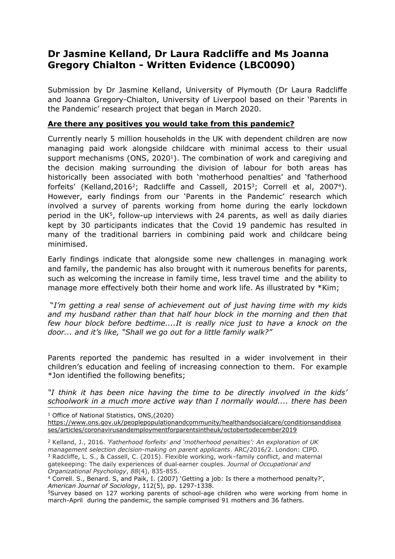## **Dr Jasmine Kelland, Dr Laura Radcliffe and Ms Joanna Gregory Chialton - Written Evidence (LBC0090)**

Submission by Dr Jasmine Kelland, University of Plymouth (Dr Laura Radcliffe and Joanna Gregory-Chialton, University of Liverpool based on their 'Parents in the Pandemic' research project that began in March 2020.

## **Are there any positives you would take from this pandemic?**

Currently nearly 5 million households in the UK with dependent children are now managing paid work alongside childcare with minimal access to their usual support mechanisms (ONS, 2020<sup>1</sup>). The combination of work and caregiving and the decision making surrounding the division of labour for both areas has historically been associated with both 'motherhood penalties' and 'fatherhood forfeits' (Kelland, 2016<sup>2</sup>; Radcliffe and Cassell, 2015<sup>3</sup>; Correll et al, 2007<sup>4</sup>). However, early findings from our 'Parents in the Pandemic' research which involved a survey of parents working from home during the early lockdown period in the UK<sup>5</sup>, follow-up interviews with 24 parents, as well as daily diaries kept by 30 participants indicates that the Covid 19 pandemic has resulted in many of the traditional barriers in combining paid work and childcare being minimised.

Early findings indicate that alongside some new challenges in managing work and family, the pandemic has also brought with it numerous benefits for parents, such as welcoming the increase in family time, less travel time and the ability to manage more effectively both their home and work life. As illustrated by \*Kim;

"*I'm getting a real sense of achievement out of just having time with my kids and my husband rather than that half hour block in the morning and then that few hour block before bedtime....It is really nice just to have a knock on the door... and it's like, "Shall we go out for a little family walk?"*

Parents reported the pandemic has resulted in a wider involvement in their children's education and feeling of increasing connection to them. For example \*Jon identified the following benefits;

*"I think it has been nice having the time to be directly involved in the kids' schoolwork in a much more active way than I normally would.... there has been*

<sup>1</sup> Office of National Statistics, ONS, (2020)

[https://www.ons.gov.uk/peoplepopulationandcommunity/healthandsocialcare/conditionsanddisea](https://www.ons.gov.uk/peoplepopulationandcommunity/healthandsocialcare/conditionsanddiseases/articles/coronavirusandemploymentforparentsintheuk/octobertodecember2019) [ses/articles/coronavirusandemploymentforparentsintheuk/octobertodecember2019](https://www.ons.gov.uk/peoplepopulationandcommunity/healthandsocialcare/conditionsanddiseases/articles/coronavirusandemploymentforparentsintheuk/octobertodecember2019)

<sup>2</sup> Kelland, J., 2016. *'Fatherhood forfeits' and 'motherhood penalties': An exploration of UK management selection decision-making on parent applicants*. ARC/2016/2. London: CIPD. <sup>3</sup> Radcliffe, L. S., & Cassell, C. (2015). Flexible working, work–family conflict, and maternal gatekeeping: The daily experiences of dual‐earner couples. *Journal of Occupational and Organizational Psychology*, *88*(4), 835-855.

<sup>5</sup>Survey based on 127 working parents of school-age children who were working from home in march-April during the pandemic, the sample comprised 91 mothers and 36 fathers.

<sup>4</sup> Correll. S., Benard. S, and Paik, I. (2007) 'Getting a job: Is there a motherhood penalty?', *American Journal of Sociology*, 112(5), pp. 1297-1338.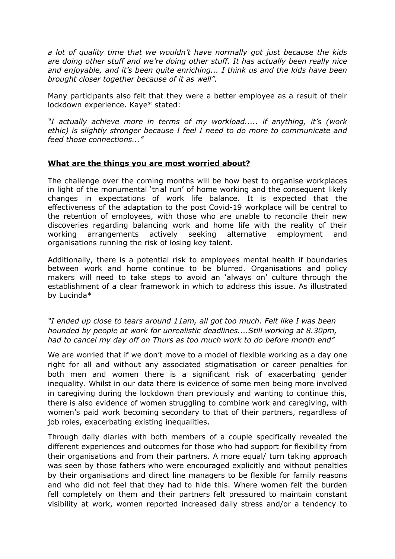*a lot of quality time that we wouldn't have normally got just because the kids are doing other stuff and we're doing other stuff. It has actually been really nice and enjoyable, and it's been quite enriching... I think us and the kids have been brought closer together because of it as well".*

Many participants also felt that they were a better employee as a result of their lockdown experience. Kaye\* stated:

*"I actually achieve more in terms of my workload..... if anything, it's (work ethic) is slightly stronger because I feel I need to do more to communicate and feed those connections..."*

## **What are the things you are most worried about?**

The challenge over the coming months will be how best to organise workplaces in light of the monumental 'trial run' of home working and the consequent likely changes in expectations of work life balance. It is expected that the effectiveness of the adaptation to the post Covid-19 workplace will be central to the retention of employees, with those who are unable to reconcile their new discoveries regarding balancing work and home life with the reality of their working arrangements actively seeking alternative employment and organisations running the risk of losing key talent.

Additionally, there is a potential risk to employees mental health if boundaries between work and home continue to be blurred. Organisations and policy makers will need to take steps to avoid an 'always on' culture through the establishment of a clear framework in which to address this issue. As illustrated by Lucinda\*

*"I ended up close to tears around 11am, all got too much. Felt like I was been hounded by people at work for unrealistic deadlines....Still working at 8.30pm, had to cancel my day off on Thurs as too much work to do before month end"*

We are worried that if we don't move to a model of flexible working as a day one right for all and without any associated stigmatisation or career penalties for both men and women there is a significant risk of exacerbating gender inequality. Whilst in our data there is evidence of some men being more involved in caregiving during the lockdown than previously and wanting to continue this, there is also evidence of women struggling to combine work and caregiving, with women's paid work becoming secondary to that of their partners, regardless of job roles, exacerbating existing inequalities.

Through daily diaries with both members of a couple specifically revealed the different experiences and outcomes for those who had support for flexibility from their organisations and from their partners. A more equal/ turn taking approach was seen by those fathers who were encouraged explicitly and without penalties by their organisations and direct line managers to be flexible for family reasons and who did not feel that they had to hide this. Where women felt the burden fell completely on them and their partners felt pressured to maintain constant visibility at work, women reported increased daily stress and/or a tendency to